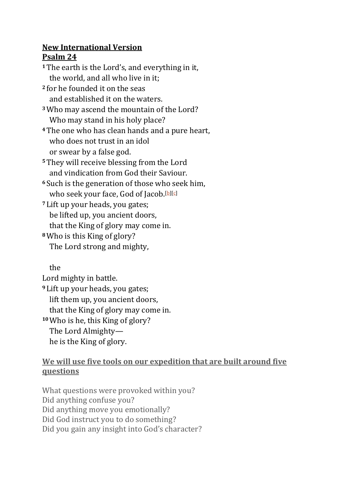## **New International Version Psalm 24**

**<sup>1</sup>**The earth is the Lord's, and everything in it, the world, and all who live in it; **<sup>2</sup>** for he founded it on the seas and established it on the waters. **<sup>3</sup>**Who may ascend the mountain of the Lord? Who may stand in his holy place? **<sup>4</sup>**The one who has clean hands and a pure heart, who does not trust in an idol or swear by a false god. **<sup>5</sup>**They will receive blessing from the Lord and vindication from God their Saviour. **<sup>6</sup>** Such is the generation of those who seek him, who seek your face, God of Jacob.<sup>[\[b\]](https://www.biblegateway.com/passage/?search=Psalms+24&version=NIV#fen-NIV-14248b)[\[c\]](https://www.biblegateway.com/passage/?search=Psalms+24&version=NIV#fen-NIV-14248c)</sup> **<sup>7</sup>** Lift up your heads, you gates; be lifted up, you ancient doors, that the King of glory may come in. **<sup>8</sup>**Who is this King of glory? The Lord strong and mighty,

the

Lord mighty in battle. **<sup>9</sup>** Lift up your heads, you gates; lift them up, you ancient doors, that the King of glory may come in. **<sup>10</sup>**Who is he, this King of glory? The Lord Almighty he is the King of glory.

## **We will use five tools on our expedition that are built around five questions**

What questions were provoked within you? Did anything confuse you? Did anything move you emotionally? Did God instruct you to do something? Did you gain any insight into God's character?